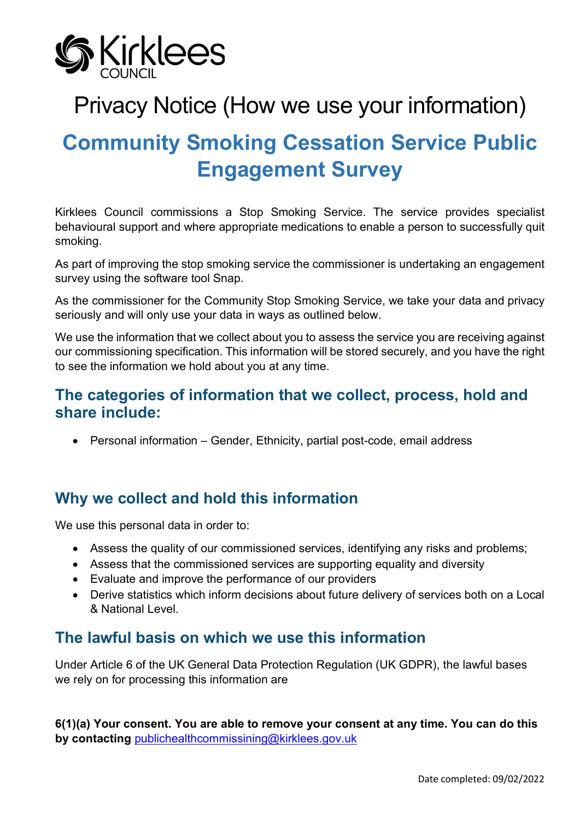

# Privacy Notice (How we use your information)

# **Community Smoking Cessation Service Public Engagement Survey**

Kirklees Council commissions a Stop Smoking Service. The service provides specialist behavioural support and where appropriate medications to enable a person to successfully quit smoking.

As part of improving the stop smoking service the commissioner is undertaking an engagement survey using the software tool Snap.

As the commissioner for the Community Stop Smoking Service, we take your data and privacy seriously and will only use your data in ways as outlined below.

We use the information that we collect about you to assess the service you are receiving against our commissioning specification. This information will be stored securely, and you have the right to see the information we hold about you at any time.

## **The categories of information that we collect, process, hold and share include:**

• Personal information – Gender, Ethnicity, partial post-code, email address

# **Why we collect and hold this information**

We use this personal data in order to:

- Assess the quality of our commissioned services, identifying any risks and problems;
- Assess that the commissioned services are supporting equality and diversity
- Evaluate and improve the performance of our providers
- Derive statistics which inform decisions about future delivery of services both on a Local & National Level.

## **The lawful basis on which we use this information**

Under Article 6 of the UK General Data Protection Regulation (UK GDPR), the lawful bases we rely on for processing this information are

**6(1)(a) Your consent. You are able to remove your consent at any time. You can do this by contacting** [publichealthcommissining@kirklees.gov.uk](mailto:publichealthcommissining@kirklees.gov.uk)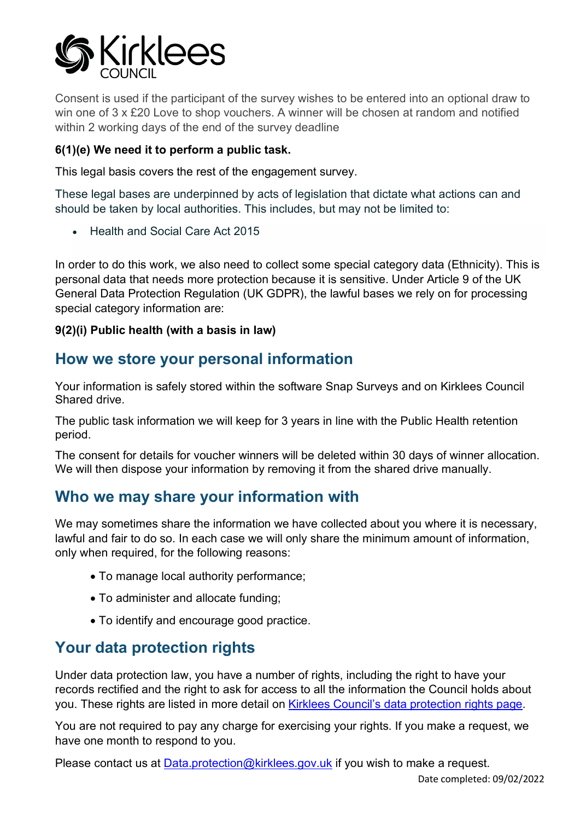

Consent is used if the participant of the survey wishes to be entered into an optional draw to win one of 3 x £20 Love to shop vouchers. A winner will be chosen at random and notified within 2 working days of the end of the survey deadline

#### **6(1)(e) We need it to perform a public task.**

This legal basis covers the rest of the engagement survey.

These legal bases are underpinned by acts of legislation that dictate what actions can and should be taken by local authorities. This includes, but may not be limited to:

• Health and Social Care Act 2015

In order to do this work, we also need to collect some special category data (Ethnicity). This is personal data that needs more protection because it is sensitive. Under Article 9 of the UK General Data Protection Regulation (UK GDPR), the lawful bases we rely on for processing special category information are:

#### **9(2)(i) Public health (with a basis in law)**

### **How we store your personal information**

Your information is safely stored within the software Snap Surveys and on Kirklees Council Shared drive.

The public task information we will keep for 3 years in line with the Public Health retention period.

The consent for details for voucher winners will be deleted within 30 days of winner allocation. We will then dispose your information by removing it from the shared drive manually.

## **Who we may share your information with**

We may sometimes share the information we have collected about you where it is necessary, lawful and fair to do so. In each case we will only share the minimum amount of information, only when required, for the following reasons:

- To manage local authority performance;
- To administer and allocate funding;
- To identify and encourage good practice.

# **Your data protection rights**

Under data protection law, you have a number of rights, including the right to have your records rectified and the right to ask for access to all the information the Council holds about you. These rights are listed in more detail on [Kirklees Council's data protection rights page.](https://www.kirklees.gov.uk/beta/information-and-data/general-data-protection-regulation.aspx)

You are not required to pay any charge for exercising your rights. If you make a request, we have one month to respond to you.

Please contact us at **Data.protection@kirklees.gov.uk** if you wish to make a request.